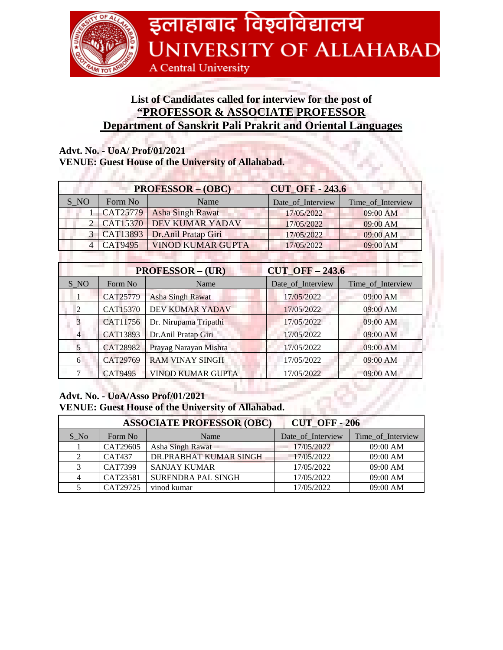

## **List of Candidates called for interview for the post of "PROFESSOR & ASSOCIATE PROFESSOR Department of Sanskrit Pali Prakrit and Oriental Languages**

## **Advt. No. - UoA/ Prof/01/2021**

. . . . . . .

## **VENUE: Guest House of the University of Allahabad.**

|                                                |                | <b>PROFESSOR - (OBC)</b> | <b>CUT OFF - 243.6</b> |                   |  |  |
|------------------------------------------------|----------------|--------------------------|------------------------|-------------------|--|--|
| S NO                                           | Form No        | Name                     | Date_of_Interview      | Time_of_Interview |  |  |
|                                                | CAT25779       | <b>Asha Singh Rawat</b>  | 17/05/2022             | 09:00 AM          |  |  |
| 2                                              | CAT15370       | <b>DEV KUMAR YADAV</b>   | 17/05/2022             | 09:00 AM          |  |  |
| $\mathcal{E}$                                  | CAT13893       | Dr.Anil Pratap Giri      | 17/05/2022             | $09:00$ AM        |  |  |
| $\overline{4}$                                 | <b>CAT9495</b> | <b>VINOD KUMAR GUPTA</b> | 17/05/2022             | $09:00$ AM        |  |  |
|                                                |                |                          |                        |                   |  |  |
| <b>PROFESSOR - (UR)</b><br>$CUT$ OFF $-$ 243.6 |                |                          |                        |                   |  |  |
| S NO                                           | Form No        | Name                     | Date_of_Interview      | Time of Interview |  |  |
| 1                                              | CAT25779       | <b>Asha Singh Rawat</b>  | 17/05/2022             | 09:00 AM          |  |  |
| 2                                              | CAT15370       | DEV KUMAR YADAV          | 17/05/2022             | 09:00 AM          |  |  |
| 3                                              | CAT11756       | Dr. Nirupama Tripathi    | 17/05/2022             | 09:00 AM          |  |  |
| $\overline{4}$                                 | CAT13893       | Dr.Anil Pratap Giri      | 17/05/2022             | 09:00 AM          |  |  |
| 5                                              | CAT28982       | Prayag Narayan Mishra    | 17/05/2022             | 09:00 AM          |  |  |
| 6                                              | CAT29769       | <b>RAM VINAY SINGH</b>   | 17/05/2022             | 09:00 AM          |  |  |
| 7                                              | CAT9495        | VINOD KUMAR GUPTA        | 17/05/2022             | 09:00 AM          |  |  |

## **Advt. No. - UoA/Asso Prof/01/2021 VENUE: Guest House of the University of Allahabad.**

| <b>ASSOCIATE PROFESSOR (OBC)</b><br><b>CUT OFF-206</b> |               |                           |                   |                   |  |  |
|--------------------------------------------------------|---------------|---------------------------|-------------------|-------------------|--|--|
| S No                                                   | Form No       | Name                      | Date of Interview | Time_of_Interview |  |  |
|                                                        | CAT29605      | Asha Singh Rawat          | 17/05/2022        | 09:00 AM          |  |  |
|                                                        | <b>CAT437</b> | DR.PRABHAT KUMAR SINGH    | 17/05/2022        | 09:00 AM          |  |  |
|                                                        | CAT7399       | <b>SANJAY KUMAR</b>       | 17/05/2022        | 09:00 AM          |  |  |
|                                                        | CAT23581      | <b>SURENDRA PAL SINGH</b> | 17/05/2022        | 09:00 AM          |  |  |
|                                                        | CAT29725      | vinod kumar               | 17/05/2022        | 09:00 AM          |  |  |